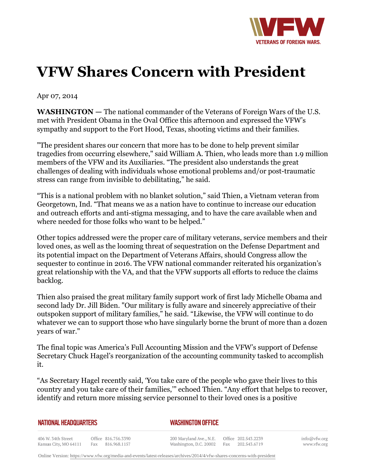

## **VFW Shares Concern with President**

Apr 07, 2014

**WASHINGTON —** The national commander of the Veterans of Foreign Wars of the U.S. met with President Obama in the Oval Office this afternoon and expressed the VFW's sympathy and support to the Fort Hood, Texas, shooting victims and their families.

"The president shares our concern that more has to be done to help prevent similar tragedies from occurring elsewhere," said William A. Thien, who leads more than 1.9 million members of the VFW and its Auxiliaries. "The president also understands the great challenges of dealing with individuals whose emotional problems and/or post-traumatic stress can range from invisible to debilitating," he said.

"This is a national problem with no blanket solution," said Thien, a Vietnam veteran from Georgetown, Ind. "That means we as a nation have to continue to increase our education and outreach efforts and anti-stigma messaging, and to have the care available when and where needed for those folks who want to be helped."

Other topics addressed were the proper care of military veterans, service members and their loved ones, as well as the looming threat of sequestration on the Defense Department and its potential impact on the Department of Veterans Affairs, should Congress allow the sequester to continue in 2016. The VFW national commander reiterated his organization's great relationship with the VA, and that the VFW supports all efforts to reduce the claims backlog.

Thien also praised the great military family support work of first lady Michelle Obama and second lady Dr. Jill Biden. "Our military is fully aware and sincerely appreciative of their outspoken support of military families," he said. "Likewise, the VFW will continue to do whatever we can to support those who have singularly borne the brunt of more than a dozen years of war."

The final topic was America's Full Accounting Mission and the VFW's support of Defense Secretary Chuck Hagel's reorganization of the accounting community tasked to accomplish it.

"As Secretary Hagel recently said, 'You take care of the people who gave their lives to this country and you take care of their families,'" echoed Thien. "Any effort that helps to recover, identify and return more missing service personnel to their loved ones is a positive

## *WASHINGTON OFFICE*

406 W. 34th Street Office 816.756.3390 Kansas City, MO 64111 Fax 816.968.1157

200 Maryland Ave., N.E. Washington, D.C. 20002 Fax 202.543.6719

Office 202.543.2239

info@vfw.org www.vfw.org

Online Version:<https://www.vfw.org/media-and-events/latest-releases/archives/2014/4/vfw-shares-concerns-with-president>